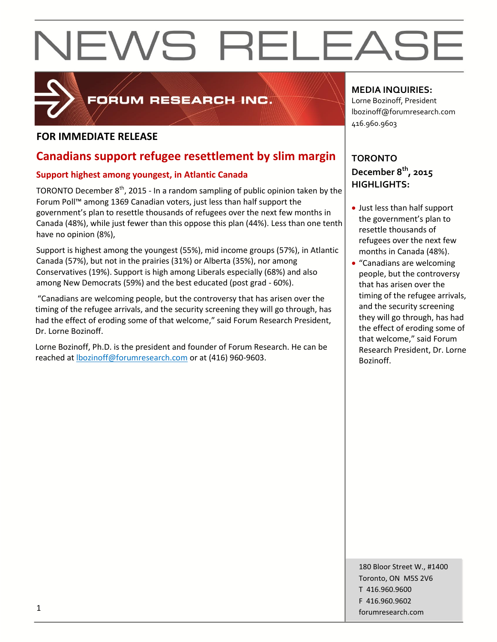

## FORUM RESEARCH INC.

## **FOR IMMEDIATE RELEASE**

## **Canadians support refugee resettlement by slim margin**

## **Support highest among youngest, in Atlantic Canada**

TORONTO December  $8<sup>th</sup>$ , 2015 - In a random sampling of public opinion taken by the Forum Poll™ among 1369 Canadian voters, just less than half support the government's plan to resettle thousands of refugees over the next few months in Canada (48%), while just fewer than this oppose this plan (44%). Less than one tenth have no opinion (8%),

Support is highest among the youngest (55%), mid income groups (57%), in Atlantic Canada (57%), but not in the prairies (31%) or Alberta (35%), nor among Conservatives (19%). Support is high among Liberals especially (68%) and also among New Democrats (59%) and the best educated (post grad - 60%).

"Canadians are welcoming people, but the controversy that has arisen over the timing of the refugee arrivals, and the security screening they will go through, has had the effect of eroding some of that welcome," said Forum Research President, Dr. Lorne Bozinoff.

Lorne Bozinoff, Ph.D. is the president and founder of Forum Research. He can be reached at [lbozinoff@forumresearch.com](mailto:lbozinoff@forumresearch.com) or at (416) 960-9603.

## **MEDIA INQUIRIES:**

Lorne Bozinoff, President lbozinoff@forumresearch.com 416.960.9603

## **TORONTO December 8th, 2015 HIGHLIGHTS:**

- Just less than half support the government's plan to resettle thousands of refugees over the next few months in Canada (48%).
- "Canadians are welcoming people, but the controversy that has arisen over the timing of the refugee arrivals, and the security screening they will go through, has had the effect of eroding some of that welcome," said Forum Research President, Dr. Lorne Bozinoff.

180 Bloor Street W., #1400 Toronto, ON M5S 2V6 T 416.960.9600 F 416.960.9602 for the contract of the contract of the contract of the contract of the contract of the contract of the contract of the contract of the contract of the contract of the contract of the contract of the contract of the contra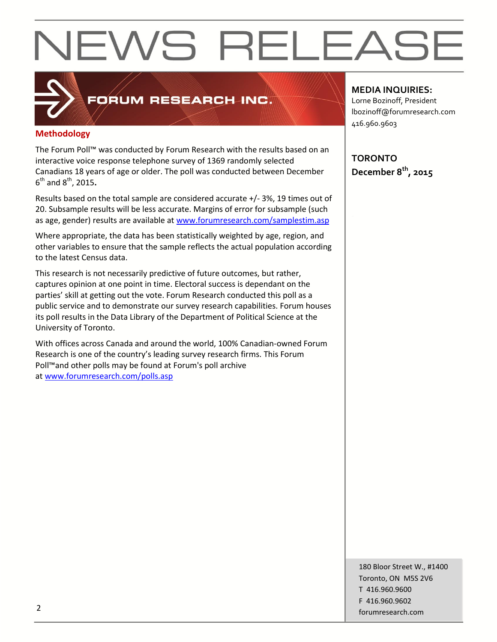## **Methodology**

The Forum Poll™ was conducted by Forum Research with the results based on an interactive voice response telephone survey of 1369 randomly selected Canadians 18 years of age or older. The poll was conducted between December 6 th and 8th, 2015**.**

FORUM RESEARCH INC.

Results based on the total sample are considered accurate +/- 3%, 19 times out of 20. Subsample results will be less accurate. Margins of error for subsample (such as age, gender) results are available at [www.forumresearch.com/samplestim.asp](http://www.forumresearch.com/samplestim.asp)

Where appropriate, the data has been statistically weighted by age, region, and other variables to ensure that the sample reflects the actual population according to the latest Census data.

This research is not necessarily predictive of future outcomes, but rather, captures opinion at one point in time. Electoral success is dependant on the parties' skill at getting out the vote. Forum Research conducted this poll as a public service and to demonstrate our survey research capabilities. Forum houses its poll results in the Data Library of the Department of Political Science at the University of Toronto.

With offices across Canada and around the world, 100% Canadian-owned Forum Research is one of the country's leading survey research firms. This Forum Poll™and other polls may be found at Forum's poll archive at [www.forumresearch.com/polls.asp](http://www.forumresearch.com/polls.asp)

## **MEDIA INQUIRIES:**

Lorne Bozinoff, President lbozinoff@forumresearch.com 416.960.9603

**TORONTO December 8th, 2015**

180 Bloor Street W., #1400 Toronto, ON M5S 2V6 T 416.960.9600 F 416.960.9602 example to the contract of the contract of the contract of the contract of the contract of the contract of the contract of the contract of the contract of the contract of the contract of the contract of the contract of the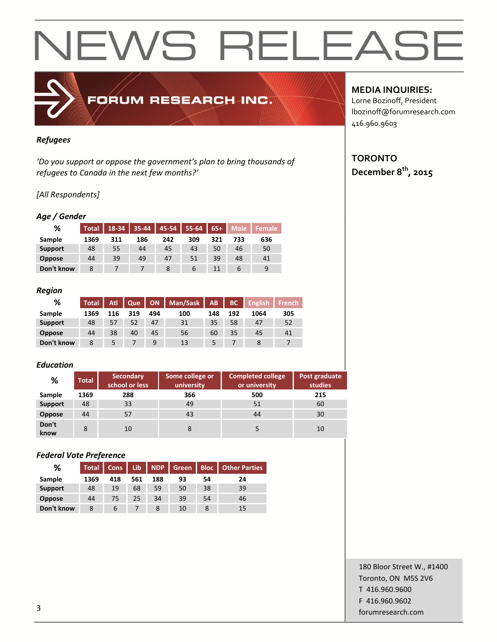*Refugees*

*'Do you support or oppose the government's plan to bring thousands of refugees to Canada in the next few months?'*

FORUM RESEARCH INC.

## *[All Respondents]*

### *Age / Gender*

| %              | <b>Total</b> | $18-34$ | $35 - 44$ | 45-54 | $155-64$ 65+ |     | Male | Female |
|----------------|--------------|---------|-----------|-------|--------------|-----|------|--------|
| Sample         | 1369         | 311     | 186       | 242   | 309          | 321 | 733  | 636    |
| <b>Support</b> | 48           | 55      | 44        | 45    | 43           | 50  | 46   | 50     |
| <b>Oppose</b>  | 44           | 39      | 49        | 47    | 51           | 39  | 48   | 41     |
| Don't know     | 8            |         |           |       | b            | 11  |      | 9      |

### *Region*

| %              | Total <sup>1</sup> | Atl | Que |     | ON   Man/Sask | AB  | BC  | <b>English</b> | <b>French</b> |
|----------------|--------------------|-----|-----|-----|---------------|-----|-----|----------------|---------------|
| Sample         | 1369               | 116 | 319 | 494 | 100           | 148 | 192 | 1064           | 305           |
| <b>Support</b> | 48                 | 57  |     | 47  | 31            | 35  | 58  | 47             | 52            |
| <b>Oppose</b>  | 44                 | 38  | 40  | 45  | 56            | 60  | 35  | 45             | 41            |
| Don't know     |                    |     |     | a   | 13            |     |     |                |               |

### *Education*

| %              | <b>Total</b> | <b>Secondary</b><br>school or less | Some college or<br>university | <b>Completed college</b><br>or university | Post graduate<br>studies |  |
|----------------|--------------|------------------------------------|-------------------------------|-------------------------------------------|--------------------------|--|
| Sample         | 1369         | 288                                | 366                           | 500                                       | 215                      |  |
| <b>Support</b> | 48           | 33                                 | 49                            | 51                                        | 60                       |  |
| <b>Oppose</b>  | 44           | 57                                 | 43                            | 44                                        | 30                       |  |
| Don't<br>know  | 8            | 10                                 | 8                             |                                           | 10                       |  |

### *Federal Vote Preference*

| %              | <b>Total</b> | <b>Cons</b> | Lib | <b>NDP</b> | <b>Green</b> | <b>Bloc</b> | <b>Other Parties</b> |
|----------------|--------------|-------------|-----|------------|--------------|-------------|----------------------|
| Sample         | 1369         | 418         | 561 | 188        | 93           | 54          | 24                   |
| <b>Support</b> | 48           | 19          | 68  | 59         | 50           | 38          | 39                   |
| <b>Oppose</b>  | 44           | 75          | 25  | 34         | 39           | 54          | 46                   |
| Don't know     | 8            | b           |     |            | 10           |             | 15                   |

## **MEDIA INQUIRIES:**

Lorne Bozinoff, President lbozinoff@forumresearch.com 416.960.9603

## **TORONTO December 8th, 2015**

180 Bloor Street W., #1400 Toronto, ON M5S 2V6 T 416.960.9600 F 416.960.9602 forumresearch.com and the set of the set of the set of the set of the set of the set of the set of the set of the set of the set of the set of the set of the set of the set of the set of the set of the set of the set of th